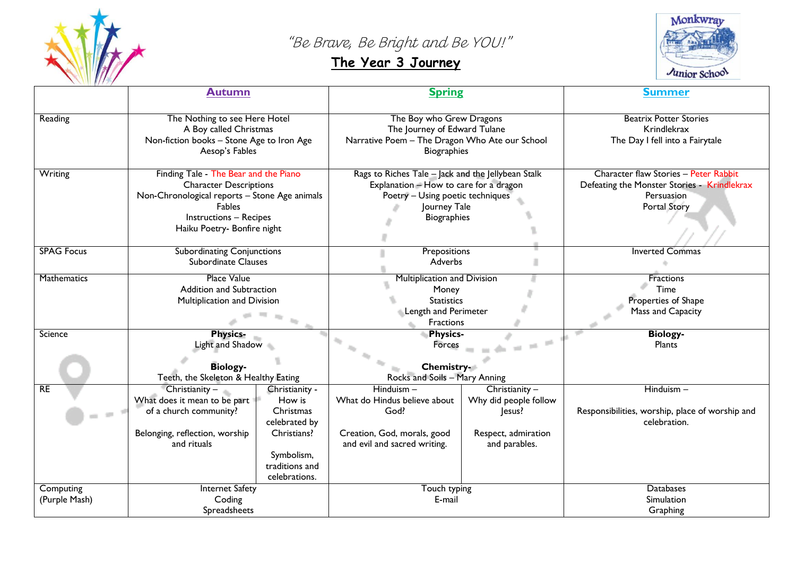

"Be Brave, Be Bright and Be YOU!"

## **The Year 3 Journey**



|                            | <b>Autumn</b>                                                                                                                                                                                            |                                                                                                                        | <b>Spring</b>                                                                                                                                                          |                                                                                             | <b>Summer</b>                                                                                                      |
|----------------------------|----------------------------------------------------------------------------------------------------------------------------------------------------------------------------------------------------------|------------------------------------------------------------------------------------------------------------------------|------------------------------------------------------------------------------------------------------------------------------------------------------------------------|---------------------------------------------------------------------------------------------|--------------------------------------------------------------------------------------------------------------------|
| Reading                    | The Nothing to see Here Hotel<br>A Boy called Christmas<br>Non-fiction books - Stone Age to Iron Age<br>Aesop's Fables                                                                                   |                                                                                                                        | The Boy who Grew Dragons<br>The Journey of Edward Tulane<br>Narrative Poem - The Dragon Who Ate our School<br><b>Biographies</b>                                       |                                                                                             | <b>Beatrix Potter Stories</b><br>Krindlekrax<br>The Day I fell into a Fairytale                                    |
| Writing                    | Finding Tale - The Bear and the Piano<br><b>Character Descriptions</b><br>Non-Chronological reports - Stone Age animals<br><b>Fables</b><br><b>Instructions - Recipes</b><br>Haiku Poetry- Bonfire night |                                                                                                                        | Rags to Riches Tale - Jack and the Jellybean Stalk<br>Explanation - How to care for a dragon<br>Poetry - Using poetic techniques<br>Journey Tale<br><b>Biographies</b> |                                                                                             | Character flaw Stories - Peter Rabbit<br>Defeating the Monster Stories - Krindlekrax<br>Persuasion<br>Portal Story |
| <b>SPAG Focus</b>          | <b>Subordinating Conjunctions</b><br><b>Subordinate Clauses</b>                                                                                                                                          |                                                                                                                        | Prepositions<br>Adverbs                                                                                                                                                |                                                                                             | <b>Inverted Commas</b>                                                                                             |
| Mathematics                | <b>Place Value</b><br><b>Addition and Subtraction</b><br>Multiplication and Division                                                                                                                     |                                                                                                                        | <b>Multiplication and Division</b><br>Money<br><b>Statistics</b><br><b>Length and Perimeter</b><br>Fractions                                                           |                                                                                             | Fractions<br>Time<br>Properties of Shape<br>Mass and Capacity                                                      |
| Science                    | <b>Physics-</b><br>Light and Shadow<br><b>Biology-</b><br>Teeth, the Skeleton & Healthy Eating                                                                                                           |                                                                                                                        | <b>Physics-</b><br><b>COL</b><br>Forces<br>Chemistry-<br>Rocks and Soils - Mary Anning                                                                                 |                                                                                             | <b>Biology-</b><br>Plants                                                                                          |
| RE                         | Christianity -<br>What does it mean to be part<br>of a church community?<br>Belonging, reflection, worship<br>and rituals                                                                                | Christianity -<br>How is<br>Christmas<br>celebrated by<br>Christians?<br>Symbolism,<br>traditions and<br>celebrations. | $Hinduism -$<br>What do Hindus believe about<br>God?<br>Creation, God, morals, good<br>and evil and sacred writing.                                                    | Christianity $-$<br>Why did people follow<br>Jesus?<br>Respect, admiration<br>and parables. | Hinduism-<br>Responsibilities, worship, place of worship and<br>celebration.                                       |
| Computing<br>(Purple Mash) | <b>Internet Safety</b><br>Coding<br>Spreadsheets                                                                                                                                                         |                                                                                                                        | Touch typing<br>E-mail                                                                                                                                                 |                                                                                             | <b>Databases</b><br>Simulation<br>Graphing                                                                         |